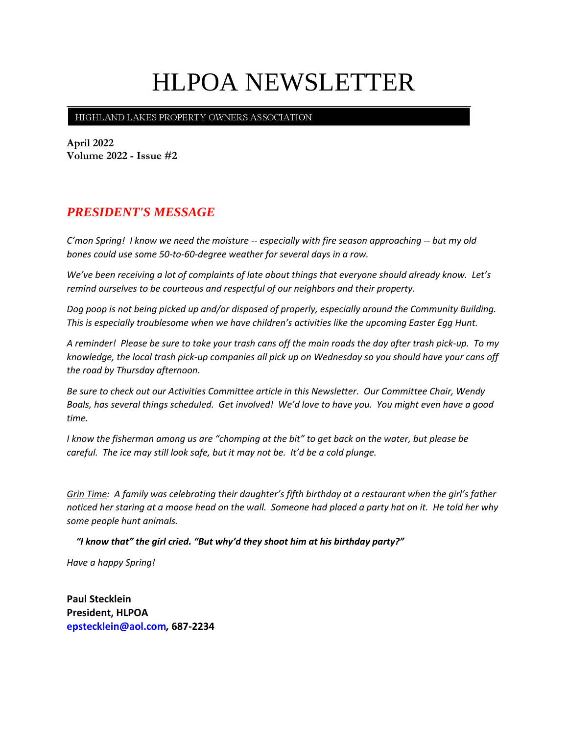# HLPOA NEWSLETTER

HIGHLAND LAKES PROPERTY OWNERS ASSOCIATION

**April 2022 Volume 2022 - Issue #2**

## *PRESIDENT'S MESSAGE*

*C'mon Spring! I know we need the moisture -- especially with fire season approaching -- but my old bones could use some 50-to-60-degree weather for several days in a row.*

*We've been receiving a lot of complaints of late about things that everyone should already know. Let's remind ourselves to be courteous and respectful of our neighbors and their property.*

*Dog poop is not being picked up and/or disposed of properly, especially around the Community Building. This is especially troublesome when we have children's activities like the upcoming Easter Egg Hunt.*

*A reminder! Please be sure to take your trash cans off the main roads the day after trash pick-up. To my knowledge, the local trash pick-up companies all pick up on Wednesday so you should have your cans off the road by Thursday afternoon.*

*Be sure to check out our Activities Committee article in this Newsletter. Our Committee Chair, Wendy Boals, has several things scheduled. Get involved! We'd love to have you. You might even have a good time.*

*I know the fisherman among us are "chomping at the bit" to get back on the water, but please be careful. The ice may still look safe, but it may not be. It'd be a cold plunge.*

*Grin Time: A family was celebrating their daughter's fifth birthday at a restaurant when the girl's father noticed her staring at a moose head on the wall. Someone had placed a party hat on it. He told her why some people hunt animals.*

 *"I know that" the girl cried. "But why'd they shoot him at his birthday party?"*

*Have a happy Spring!*

**Paul Stecklein President, HLPOA epstecklein@aol.com***,* **687-2234**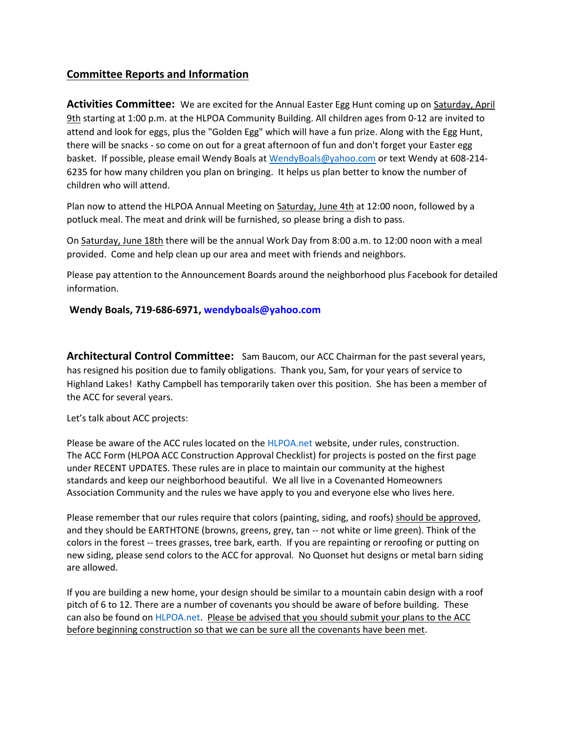### **Committee Reports and Information**

Activities Committee: We are excited for the Annual Easter Egg Hunt coming up on Saturday, April 9th starting at 1:00 p.m. at the HLPOA Community Building. All children ages from 0-12 are invited to attend and look for eggs, plus the "Golden Egg" which will have a fun prize. Along with the Egg Hunt, there will be snacks - so come on out for a great afternoon of fun and don't forget your Easter egg basket. If possible, please email Wendy Boals at [WendyBoals@yahoo.com](mailto:WendyBoals@yahoo.com) or text Wendy at 608-214- 6235 for how many children you plan on bringing. It helps us plan better to know the number of children who will attend.

Plan now to attend the HLPOA Annual Meeting on Saturday, June 4th at 12:00 noon, followed by a potluck meal. The meat and drink will be furnished, so please bring a dish to pass.

On Saturday, June 18th there will be the annual Work Day from 8:00 a.m. to 12:00 noon with a meal provided. Come and help clean up our area and meet with friends and neighbors.

Please pay attention to the Announcement Boards around the neighborhood plus Facebook for detailed information.

#### **Wendy Boals, 719-686-6971, [wendyboals@yahoo.com](mailto:wendyboals@yahoo.com)**

**Architectural Control Committee:** Sam Baucom, our ACC Chairman for the past several years, has resigned his position due to family obligations. Thank you, Sam, for your years of service to Highland Lakes! Kathy Campbell has temporarily taken over this position. She has been a member of the ACC for several years.

Let's talk about ACC projects:

Please be aware of the ACC rules located on the HLPOA.net website, under rules, construction. The ACC Form (HLPOA ACC Construction Approval Checklist) for projects is posted on the first page under RECENT UPDATES. These rules are in place to maintain our community at the highest standards and keep our neighborhood beautiful. We all live in a Covenanted Homeowners Association Community and the rules we have apply to you and everyone else who lives here.

Please remember that our rules require that colors (painting, siding, and roofs) should be approved, and they should be EARTHTONE (browns, greens, grey, tan -- not white or lime green). Think of the colors in the forest -- trees grasses, tree bark, earth. If you are repainting or reroofing or putting on new siding, please send colors to the ACC for approval. No Quonset hut designs or metal barn siding are allowed.

If you are building a new home, your design should be similar to a mountain cabin design with a roof pitch of 6 to 12. There are a number of covenants you should be aware of before building. These can also be found on HLPOA.net. Please be advised that you should submit your plans to the ACC before beginning construction so that we can be sure all the covenants have been met.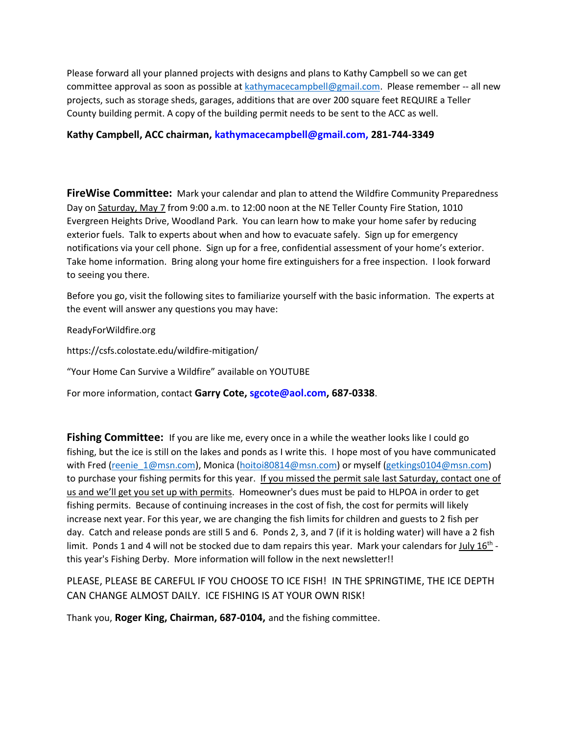Please forward all your planned projects with designs and plans to Kathy Campbell so we can get committee approval as soon as possible at [kathymacecampbell@gmail.com.](mailto:kathymacecampbell@gmail.com) Please remember -- all new projects, such as storage sheds, garages, additions that are over 200 square feet REQUIRE a Teller County building permit. A copy of the building permit needs to be sent to the ACC as well.

#### **Kathy Campbell, ACC chairman, [kathymacecampbell@gmail.com,](mailto:kathymacecampbell@gmail.com) 281-744-3349**

**FireWise Committee:** Mark your calendar and plan to attend the Wildfire Community Preparedness Day on Saturday, May 7 from 9:00 a.m. to 12:00 noon at the NE Teller County Fire Station, 1010 Evergreen Heights Drive, Woodland Park. You can learn how to make your home safer by reducing exterior fuels. Talk to experts about when and how to evacuate safely. Sign up for emergency notifications via your cell phone. Sign up for a free, confidential assessment of your home's exterior. Take home information. Bring along your home fire extinguishers for a free inspection. I look forward to seeing you there.

Before you go, visit the following sites to familiarize yourself with the basic information. The experts at the event will answer any questions you may have:

ReadyForWildfire.org

https://csfs.colostate.edu/wildfire-mitigation/

"Your Home Can Survive a Wildfire" available on YOUTUBE

For more information, contact **Garry Cote, [sgcote@aol.com,](file:///C:/Users/Sue/Desktop/HLWD/HLPOA/POA%20Newsletter/sgcote@aol.com) 687-0338**.

**Fishing Committee:** If you are like me, every once in a while the weather looks like I could go fishing, but the ice is still on the lakes and ponds as I write this. I hope most of you have communicated with Fred [\(reenie\\_1@msn.com\)](mailto:reenie_1@msn.com), Monica [\(hoitoi80814@msn.com\)](mailto:hoitoi80814@msn.com) or myself [\(getkings0104@msn.com\)](mailto:getkings0104@msn.com) to purchase your fishing permits for this year. If you missed the permit sale last Saturday, contact one of us and we'll get you set up with permits. Homeowner's dues must be paid to HLPOA in order to get fishing permits. Because of continuing increases in the cost of fish, the cost for permits will likely increase next year. For this year, we are changing the fish limits for children and guests to 2 fish per day. Catch and release ponds are still 5 and 6. Ponds 2, 3, and 7 (if it is holding water) will have a 2 fish limit. Ponds 1 and 4 will not be stocked due to dam repairs this year. Mark your calendars for July 16<sup>th</sup> this year's Fishing Derby. More information will follow in the next newsletter!!

PLEASE, PLEASE BE CAREFUL IF YOU CHOOSE TO ICE FISH! IN THE SPRINGTIME, THE ICE DEPTH CAN CHANGE ALMOST DAILY. ICE FISHING IS AT YOUR OWN RISK!

Thank you, **Roger King, Chairman, 687-0104,** and the fishing committee.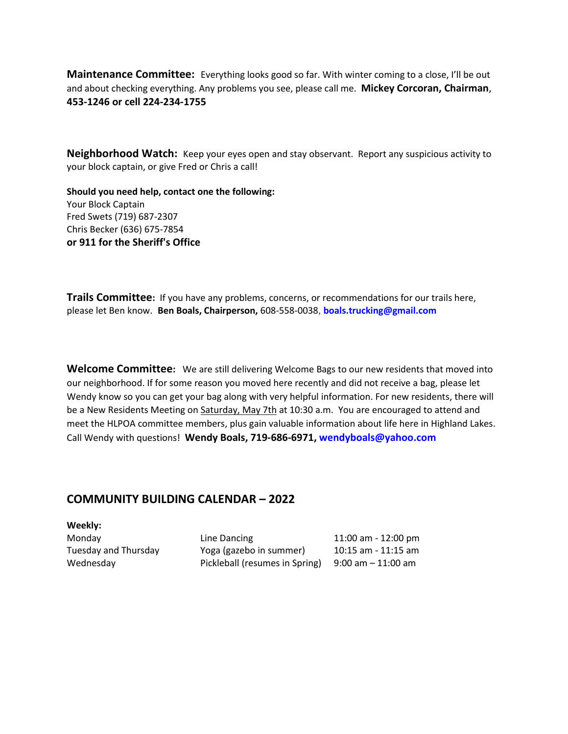**Maintenance Committee:** Everything looks good so far. With winter coming to a close, I'll be out and about checking everything. Any problems you see, please call me. **Mickey Corcoran, Chairman**, **453-1246 or cell 224-234-1755** 

**Neighborhood Watch:** Keep your eyes open and stay observant. Report any suspicious activity to your block captain, or give Fred or Chris a call!

**Should you need help, contact one the following:**  Your Block Captain Fred Swets (719) 687-2307 Chris Becker (636) 675-7854 **or 911 for the Sheriff's Office**

**Trails Committee:** If you have any problems, concerns, or recommendations for our trails here, please let Ben know. **Ben Boals, Chairperson,** 608-558-0038, **boals.trucking@gmail.com**

**Welcome Committee:** We are still delivering Welcome Bags to our new residents that moved into our neighborhood. If for some reason you moved here recently and did not receive a bag, please let Wendy know so you can get your bag along with very helpful information. For new residents, there will be a New Residents Meeting on Saturday, May 7th at 10:30 a.m. You are encouraged to attend and meet the HLPOA committee members, plus gain valuable information about life here in Highland Lakes. Call Wendy with questions! **Wendy Boals, 719-686-6971, [wendyboals@yahoo.com](mailto:wendyboals@yahoo.com)**

#### **COMMUNITY BUILDING CALENDAR – 2022**

**Weekly:**

| Monday               | Line Dancing                   | 11:00 am - 12:00 pm     |
|----------------------|--------------------------------|-------------------------|
| Tuesday and Thursday | Yoga (gazebo in summer)        | $10:15$ am - $11:15$ am |
| Wednesday            | Pickleball (resumes in Spring) | $9:00$ am $-11:00$ am   |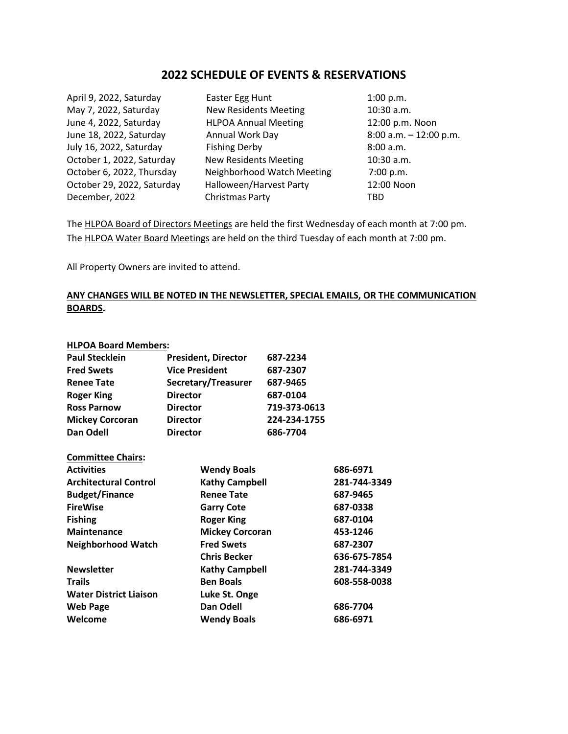#### **2022 SCHEDULE OF EVENTS & RESERVATIONS**

| April 9, 2022, Saturday    | Easter Egg Hunt              | 1:00 p.m.                 |
|----------------------------|------------------------------|---------------------------|
| May 7, 2022, Saturday      | <b>New Residents Meeting</b> | 10:30 a.m.                |
| June 4, 2022, Saturday     | <b>HLPOA Annual Meeting</b>  | 12:00 p.m. Noon           |
| June 18, 2022, Saturday    | Annual Work Day              | $8:00$ a.m. $-12:00$ p.m. |
| July 16, 2022, Saturday    | <b>Fishing Derby</b>         | 8:00 a.m.                 |
| October 1, 2022, Saturday  | <b>New Residents Meeting</b> | $10:30$ a.m.              |
| October 6, 2022, Thursday  | Neighborhood Watch Meeting   | 7:00 p.m.                 |
| October 29, 2022, Saturday | Halloween/Harvest Party      | 12:00 Noon                |
| December, 2022             | Christmas Party              | TBD                       |
|                            |                              |                           |

The HLPOA Board of Directors Meetings are held the first Wednesday of each month at 7:00 pm. The HLPOA Water Board Meetings are held on the third Tuesday of each month at 7:00 pm.

All Property Owners are invited to attend.

#### **ANY CHANGES WILL BE NOTED IN THE NEWSLETTER, SPECIAL EMAILS, OR THE COMMUNICATION BOARDS.**

#### **HLPOA Board Members:**

| <b>Paul Stecklein</b>  | <b>President, Director</b> | 687-2234     |
|------------------------|----------------------------|--------------|
| <b>Fred Swets</b>      | <b>Vice President</b>      | 687-2307     |
| <b>Renee Tate</b>      | Secretary/Treasurer        | 687-9465     |
| <b>Roger King</b>      | <b>Director</b>            | 687-0104     |
| <b>Ross Parnow</b>     | <b>Director</b>            | 719-373-0613 |
| <b>Mickey Corcoran</b> | <b>Director</b>            | 224-234-1755 |
| Dan Odell              | <b>Director</b>            | 686-7704     |

| <b>Committee Chairs:</b>      |                        |              |
|-------------------------------|------------------------|--------------|
| <b>Activities</b>             | <b>Wendy Boals</b>     | 686-6971     |
| <b>Architectural Control</b>  | <b>Kathy Campbell</b>  | 281-744-3349 |
| <b>Budget/Finance</b>         | <b>Renee Tate</b>      | 687-9465     |
| <b>FireWise</b>               | <b>Garry Cote</b>      | 687-0338     |
| <b>Fishing</b>                | <b>Roger King</b>      | 687-0104     |
| <b>Maintenance</b>            | <b>Mickey Corcoran</b> | 453-1246     |
| <b>Neighborhood Watch</b>     | <b>Fred Swets</b>      | 687-2307     |
|                               | <b>Chris Becker</b>    | 636-675-7854 |
| <b>Newsletter</b>             | <b>Kathy Campbell</b>  | 281-744-3349 |
| <b>Trails</b>                 | <b>Ben Boals</b>       | 608-558-0038 |
| <b>Water District Liaison</b> | Luke St. Onge          |              |
| <b>Web Page</b>               | Dan Odell              | 686-7704     |
| Welcome                       | <b>Wendy Boals</b>     | 686-6971     |